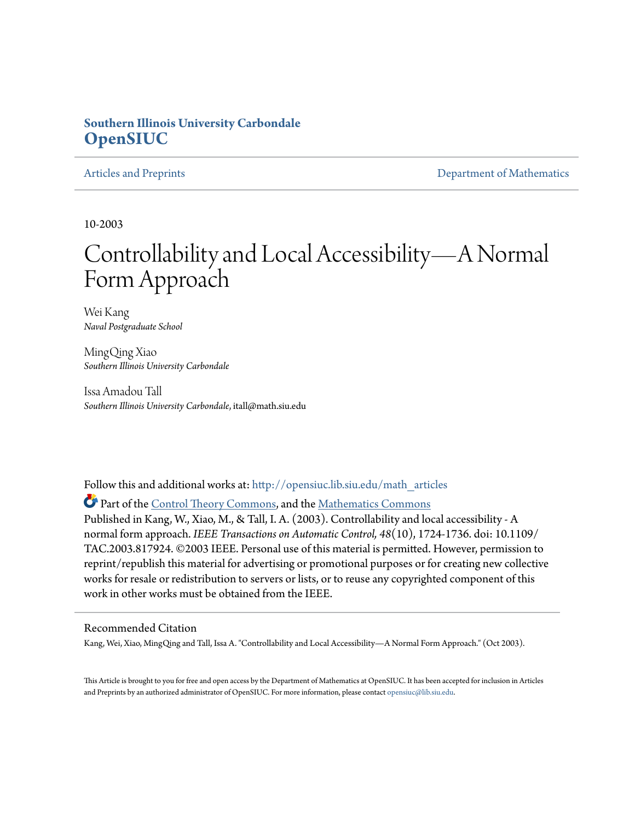### **Southern Illinois University Carbondale [OpenSIUC](http://opensiuc.lib.siu.edu?utm_source=opensiuc.lib.siu.edu%2Fmath_articles%2F90&utm_medium=PDF&utm_campaign=PDFCoverPages)**

[Articles and Preprints](http://opensiuc.lib.siu.edu/math_articles?utm_source=opensiuc.lib.siu.edu%2Fmath_articles%2F90&utm_medium=PDF&utm_campaign=PDFCoverPages) **[Department of Mathematics](http://opensiuc.lib.siu.edu/math?utm_source=opensiuc.lib.siu.edu%2Fmath_articles%2F90&utm_medium=PDF&utm_campaign=PDFCoverPages)** Department of Mathematics

10-2003

## Controllability and Local Accessibility—A Normal Form Approach

Wei Kang *Naval Postgraduate School*

MingQing Xiao *Southern Illinois University Carbondale*

Issa Amadou Tall *Southern Illinois University Carbondale*, itall@math.siu.edu

Follow this and additional works at: [http://opensiuc.lib.siu.edu/math\\_articles](http://opensiuc.lib.siu.edu/math_articles?utm_source=opensiuc.lib.siu.edu%2Fmath_articles%2F90&utm_medium=PDF&utm_campaign=PDFCoverPages)

Part of the [Control Theory Commons](http://network.bepress.com/hgg/discipline/116?utm_source=opensiuc.lib.siu.edu%2Fmath_articles%2F90&utm_medium=PDF&utm_campaign=PDFCoverPages), and the [Mathematics Commons](http://network.bepress.com/hgg/discipline/174?utm_source=opensiuc.lib.siu.edu%2Fmath_articles%2F90&utm_medium=PDF&utm_campaign=PDFCoverPages)

Published in Kang, W., Xiao, M., & Tall, I. A. (2003). Controllability and local accessibility - A normal form approach. *IEEE Transactions on Automatic Control, 48*(10), 1724-1736. doi: 10.1109/ TAC.2003.817924. ©2003 IEEE. Personal use of this material is permitted. However, permission to reprint/republish this material for advertising or promotional purposes or for creating new collective works for resale or redistribution to servers or lists, or to reuse any copyrighted component of this work in other works must be obtained from the IEEE.

### Recommended Citation

Kang, Wei, Xiao, MingQing and Tall, Issa A. "Controllability and Local Accessibility—A Normal Form Approach." (Oct 2003).

This Article is brought to you for free and open access by the Department of Mathematics at OpenSIUC. It has been accepted for inclusion in Articles and Preprints by an authorized administrator of OpenSIUC. For more information, please contact [opensiuc@lib.siu.edu](mailto:opensiuc@lib.siu.edu).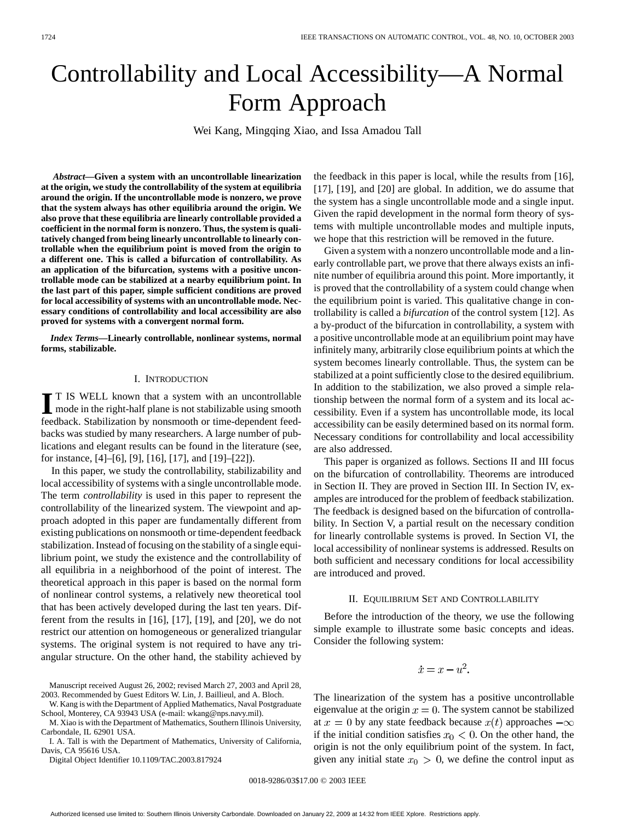# Controllability and Local Accessibility—A Normal Form Approach

Wei Kang, Mingqing Xiao, and Issa Amadou Tall

*Abstract—***Given a system with an uncontrollable linearization at the origin, we study the controllability of the system at equilibria around the origin. If the uncontrollable mode is nonzero, we prove that the system always has other equilibria around the origin. We also prove that these equilibria are linearly controllable provided a coefficient in the normal form is nonzero. Thus, the system is qualitatively changed from being linearly uncontrollable to linearly controllable when the equilibrium point is moved from the origin to a different one. This is called a bifurcation of controllability. As an application of the bifurcation, systems with a positive uncontrollable mode can be stabilized at a nearby equilibrium point. In the last part of this paper, simple sufficient conditions are proved for local accessibility of systems with an uncontrollable mode. Necessary conditions of controllability and local accessibility are also proved for systems with a convergent normal form.**

*Index Terms—***Linearly controllable, nonlinear systems, normal forms, stabilizable.**

#### I. INTRODUCTION

**I** T IS WELL known that a system with an uncontrollable mode in the right-half plane is not stabilizable using smooth for the stabilizable using smooth feedback. Stabilization by nonsmooth or time-dependent feedbacks was studied by many researchers. A large number of publications and elegant results can be found in the literature (see, for instance, [4]–[6], [9], [16], [17], and [19]–[22]).

In this paper, we study the controllability, stabilizability and local accessibility of systems with a single uncontrollable mode. The term *controllability* is used in this paper to represent the controllability of the linearized system. The viewpoint and approach adopted in this paper are fundamentally different from existing publications on nonsmooth or time-dependent feedback stabilization. Instead of focusing on the stability of a single equilibrium point, we study the existence and the controllability of all equilibria in a neighborhood of the point of interest. The theoretical approach in this paper is based on the normal form of nonlinear control systems, a relatively new theoretical tool that has been actively developed during the last ten years. Different from the results in [16], [17], [19], and [20], we do not restrict our attention on homogeneous or generalized triangular systems. The original system is not required to have any triangular structure. On the other hand, the stability achieved by

Manuscript received August 26, 2002; revised March 27, 2003 and April 28, 2003. Recommended by Guest Editors W. Lin, J. Baillieul, and A. Bloch.

W. Kang is with the Department of Applied Mathematics, Naval Postgraduate School, Monterey, CA 93943 USA (e-mail: wkang@nps.navy.mil).

M. Xiao is with the Department of Mathematics, Southern Illinois University, Carbondale, IL 62901 USA.

I. A. Tall is with the Department of Mathematics, University of California, Davis, CA 95616 USA.

Digital Object Identifier 10.1109/TAC.2003.817924

the feedback in this paper is local, while the results from [16], [17], [19], and [20] are global. In addition, we do assume that the system has a single uncontrollable mode and a single input. Given the rapid development in the normal form theory of systems with multiple uncontrollable modes and multiple inputs, we hope that this restriction will be removed in the future.

Given a system with a nonzero uncontrollable mode and a linearly controllable part, we prove that there always exists an infinite number of equilibria around this point. More importantly, it is proved that the controllability of a system could change when the equilibrium point is varied. This qualitative change in controllability is called a *bifurcation* of the control system [12]. As a by-product of the bifurcation in controllability, a system with a positive uncontrollable mode at an equilibrium point may have infinitely many, arbitrarily close equilibrium points at which the system becomes linearly controllable. Thus, the system can be stabilized at a point sufficiently close to the desired equilibrium. In addition to the stabilization, we also proved a simple relationship between the normal form of a system and its local accessibility. Even if a system has uncontrollable mode, its local accessibility can be easily determined based on its normal form. Necessary conditions for controllability and local accessibility are also addressed.

This paper is organized as follows. Sections II and III focus on the bifurcation of controllability. Theorems are introduced in Section II. They are proved in Section III. In Section IV, examples are introduced for the problem of feedback stabilization. The feedback is designed based on the bifurcation of controllability. In Section V, a partial result on the necessary condition for linearly controllable systems is proved. In Section VI, the local accessibility of nonlinear systems is addressed. Results on both sufficient and necessary conditions for local accessibility are introduced and proved.

#### II. EQUILIBRIUM SET AND CONTROLLABILITY

Before the introduction of the theory, we use the following simple example to illustrate some basic concepts and ideas. Consider the following system:

$$
\dot{x} = x - u^2
$$

The linearization of the system has a positive uncontrollable eigenvalue at the origin  $x = 0$ . The system cannot be stabilized at  $x = 0$  by any state feedback because  $x(t)$  approaches  $-\infty$ if the initial condition satisfies  $x_0 < 0$ . On the other hand, the origin is not the only equilibrium point of the system. In fact, given any initial state  $x_0 > 0$ , we define the control input as

0018-9286/03\$17.00 © 2003 IEEE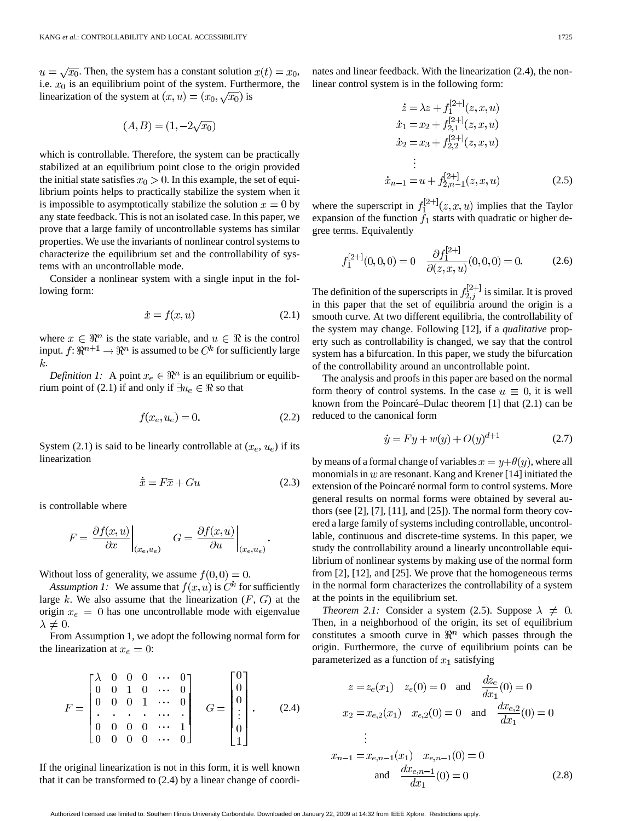$u = \sqrt{x_0}$ . Then, the system has a constant solution  $x(t) = x_0$ , i.e.  $x_0$  is an equilibrium point of the system. Furthermore, the linearization of the system at  $(x, u) = (x_0, \sqrt{x_0})$  is

$$
(A, B) = (1, -2\sqrt{x_0})
$$

which is controllable. Therefore, the system can be practically stabilized at an equilibrium point close to the origin provided the initial state satisfies  $x_0 > 0$ . In this example, the set of equilibrium points helps to practically stabilize the system when it is impossible to asymptotically stabilize the solution  $x = 0$  by any state feedback. This is not an isolated case. In this paper, we prove that a large family of uncontrollable systems has similar properties. We use the invariants of nonlinear control systems to characterize the equilibrium set and the controllability of systems with an uncontrollable mode.

Consider a nonlinear system with a single input in the following form:

$$
\dot{x} = f(x, u) \tag{2.1}
$$

where  $x \in \mathbb{R}^n$  is the state variable, and  $u \in \mathbb{R}$  is the control input.  $f: \mathbb{R}^{n+1} \to \mathbb{R}^n$  is assumed to be  $C^k$  for sufficiently large  $k$ .

*Definition 1:* A point  $x_e \in \mathbb{R}^n$  is an equilibrium or equilibrium point of (2.1) if and only if  $\exists u_e \in \Re$  so that

$$
f(x_e, u_e) = 0. \tag{2.2}
$$

System (2.1) is said to be linearly controllable at  $(x_e, u_e)$  if its linearization

$$
\dot{\bar{x}} = F\bar{x} + Gu \tag{2.3}
$$

is controllable where

$$
F = \frac{\partial f(x, u)}{\partial x}\bigg|_{(x_e, u_e)} \quad G = \frac{\partial f(x, u)}{\partial u}\bigg|_{(x_e, u_e)}.
$$

Without loss of generality, we assume  $f(0,0) = 0$ .

*Assumption 1:* We assume that  $f(x, u)$  is  $C^k$  for sufficiently large  $k$ . We also assume that the linearization  $(F, G)$  at the origin  $x_e = 0$  has one uncontrollable mode with eigenvalue  $\lambda \neq 0$ .

From Assumption 1, we adopt the following normal form for the linearization at  $x_e = 0$ :

$$
F = \begin{bmatrix} \lambda & 0 & 0 & 0 & \cdots & 0 \\ 0 & 0 & 1 & 0 & \cdots & 0 \\ 0 & 0 & 0 & 1 & \cdots & 0 \\ \vdots & \vdots & \vdots & \ddots & \vdots & \vdots \\ 0 & 0 & 0 & 0 & \cdots & 1 \\ 0 & 0 & 0 & 0 & \cdots & 0 \end{bmatrix} \quad G = \begin{bmatrix} 0 \\ 0 \\ 0 \\ \vdots \\ 0 \\ 1 \end{bmatrix} .
$$
 (2.4)

If the original linearization is not in this form, it is well known that it can be transformed to (2.4) by a linear change of coordinates and linear feedback. With the linearization (2.4), the nonlinear control system is in the following form:

$$
\dot{z} = \lambda z + f_1^{[2+]}(z, x, u)
$$
  
\n
$$
\dot{x}_1 = x_2 + f_{2,1}^{[2+]}(z, x, u)
$$
  
\n
$$
\dot{x}_2 = x_3 + f_{2,2}^{[2+]}(z, x, u)
$$
  
\n
$$
\vdots
$$
  
\n
$$
\dot{x}_{n-1} = u + f_{2,n-1}^{[2+]}(z, x, u)
$$
\n(2.5)

where the superscript in  $f_1^{2+1}(z, x, u)$  implies that the Taylor expansion of the function  $f_1$  starts with quadratic or higher degree terms. Equivalently

$$
f_1^{[2+]}(0,0,0) = 0 \quad \frac{\partial f_1^{[2+]} }{\partial(z,x,u)}(0,0,0) = 0. \tag{2.6}
$$

The definition of the superscripts in  $f_{2,i}^{[2+]}$  is similar. It is proved in this paper that the set of equilibria around the origin is a smooth curve. At two different equilibria, the controllability of the system may change. Following [12], if a *qualitative* property such as controllability is changed, we say that the control system has a bifurcation. In this paper, we study the bifurcation of the controllability around an uncontrollable point.

The analysis and proofs in this paper are based on the normal form theory of control systems. In the case  $u \equiv 0$ , it is well known from the Poincaré–Dulac theorem [1] that (2.1) can be reduced to the canonical form

$$
\dot{y} = Fy + w(y) + O(y)^{d+1} \tag{2.7}
$$

by means of a formal change of variables  $x = y + \theta(y)$ , where all monomials in  $w$  are resonant. Kang and Krener [14] initiated the extension of the Poincaré normal form to control systems. More general results on normal forms were obtained by several authors (see  $[2]$ ,  $[7]$ ,  $[11]$ , and  $[25]$ ). The normal form theory covered a large family of systems including controllable, uncontrollable, continuous and discrete-time systems. In this paper, we study the controllability around a linearly uncontrollable equilibrium of nonlinear systems by making use of the normal form from [2], [12], and [25]. We prove that the homogeneous terms in the normal form characterizes the controllability of a system at the points in the equilibrium set.

*Theorem 2.1:* Consider a system (2.5). Suppose  $\lambda \neq 0$ . Then, in a neighborhood of the origin, its set of equilibrium constitutes a smooth curve in  $\mathbb{R}^n$  which passes through the origin. Furthermore, the curve of equilibrium points can be parameterized as a function of  $x_1$  satisfying

$$
z = z_e(x_1) \t z_e(0) = 0 \t and \t \frac{dz_e}{dx_1}(0) = 0
$$
  

$$
x_2 = x_{e,2}(x_1) \t x_{e,2}(0) = 0 \t and \t \frac{dx_{e,2}}{dx_1}(0) = 0
$$
  

$$
\vdots
$$
  

$$
x_{n-1} = x_{e,n-1}(x_1) \t x_{e,n-1}(0) = 0
$$
  
and 
$$
\frac{dx_{e,n-1}}{dx_1}(0) = 0
$$
 (2.8)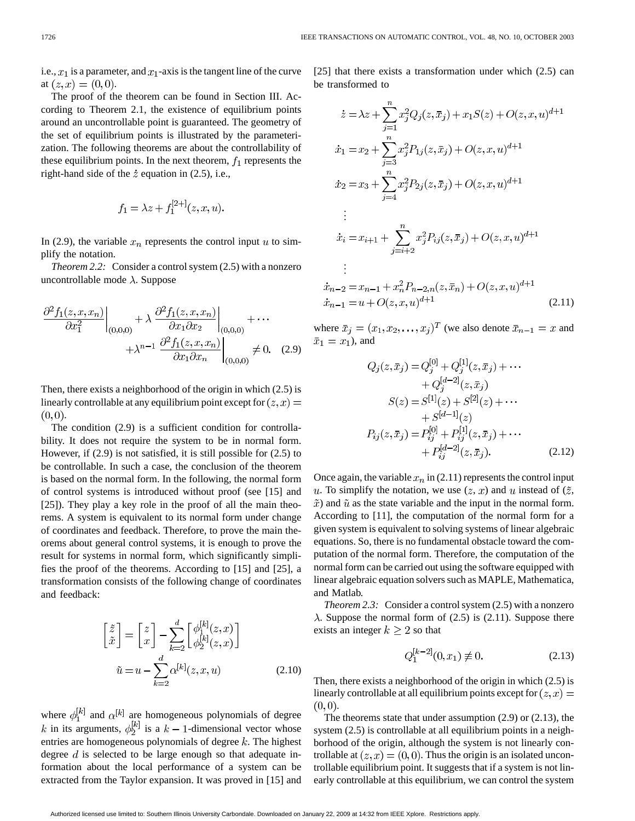i.e.,  $x_1$  is a parameter, and  $x_1$ -axis is the tangent line of the curve at  $(z, x) = (0, 0)$ .

The proof of the theorem can be found in Section III. According to Theorem 2.1, the existence of equilibrium points around an uncontrollable point is guaranteed. The geometry of the set of equilibrium points is illustrated by the parameterization. The following theorems are about the controllability of these equilibrium points. In the next theorem,  $f_1$  represents the right-hand side of the  $\dot{z}$  equation in (2.5), i.e.,

$$
f_1 = \lambda z + f_1^{[2+]}(z, x, u).
$$

In (2.9), the variable  $x_n$  represents the control input u to simplify the notation.

*Theorem 2.2:* Consider a control system (2.5) with a nonzero uncontrollable mode  $\lambda$ . Suppose

$$
\frac{\partial^2 f_1(z, x, x_n)}{\partial x_1^2}\Big|_{(0,0,0)} + \lambda \frac{\partial^2 f_1(z, x, x_n)}{\partial x_1 \partial x_2}\Big|_{(0,0,0)} + \cdots + \lambda^{n-1} \frac{\partial^2 f_1(z, x, x_n)}{\partial x_1 \partial x_n}\Big|_{(0,0,0)} \neq 0. \quad (2.9)
$$

Then, there exists a neighborhood of the origin in which (2.5) is linearly controllable at any equilibrium point except for  $(z, x) =$  $(0,0).$ 

The condition (2.9) is a sufficient condition for controllability. It does not require the system to be in normal form. However, if (2.9) is not satisfied, it is still possible for (2.5) to be controllable. In such a case, the conclusion of the theorem is based on the normal form. In the following, the normal form of control systems is introduced without proof (see [15] and [25]). They play a key role in the proof of all the main theorems. A system is equivalent to its normal form under change of coordinates and feedback. Therefore, to prove the main theorems about general control systems, it is enough to prove the result for systems in normal form, which significantly simplifies the proof of the theorems. According to [15] and [25], a transformation consists of the following change of coordinates and feedback:

$$
\begin{bmatrix} \tilde{z} \\ \tilde{x} \end{bmatrix} = \begin{bmatrix} z \\ x \end{bmatrix} - \sum_{k=2}^{d} \begin{bmatrix} \phi_1^{[k]}(z, x) \\ \phi_2^{[k]}(z, x) \end{bmatrix}
$$

$$
\tilde{u} = u - \sum_{k=2}^{d} \alpha^{[k]}(z, x, u)
$$
(2.10)

where  $\phi_1^{[k]}$  and  $\alpha^{[k]}$  are homogeneous polynomials of degree k in its arguments,  $\phi_2^{[k]}$  is a  $k-1$ -dimensional vector whose entries are homogeneous polynomials of degree  $k$ . The highest degree  $d$  is selected to be large enough so that adequate information about the local performance of a system can be extracted from the Taylor expansion. It was proved in [15] and [25] that there exists a transformation under which  $(2.5)$  can be transformed to

$$
\dot{z} = \lambda z + \sum_{j=1}^{n} x_j^2 Q_j(z, \bar{x}_j) + x_1 S(z) + O(z, x, u)^{d+1}
$$
  
\n
$$
\dot{x}_1 = x_2 + \sum_{j=3}^{n} x_j^2 P_{1j}(z, \bar{x}_j) + O(z, x, u)^{d+1}
$$
  
\n
$$
\dot{x}_2 = x_3 + \sum_{j=4}^{n} x_j^2 P_{2j}(z, \bar{x}_j) + O(z, x, u)^{d+1}
$$
  
\n:  
\n:  
\n
$$
\dot{x}_i = x_{i+1} + \sum_{j=i+2}^{n} x_j^2 P_{ij}(z, \bar{x}_j) + O(z, x, u)^{d+1}
$$
  
\n:  
\n:  
\n:  
\n
$$
\dot{x}_{n-2} = x_{n-1} + x_n^2 P_{n-2,n}(z, \bar{x}_n) + O(z, x, u)^{d+1}
$$

$$
\dot{x}_{n-1} = u + O(z, x, u)^{d+1}
$$
\n(2.11)

where  $\bar{x}_j = (x_1, x_2, \dots, x_j)^T$  (we also denote  $\bar{x}_{n-1} = x$  and  $\bar{x}_1 = x_1$ ), and

$$
Q_j(z, \bar{x}_j) = Q_j^{[0]} + Q_j^{[1]}(z, \bar{x}_j) + \cdots
$$
  
+  $Q_j^{[d-2]}(z, \bar{x}_j)$   

$$
S(z) = S^{[1]}(z) + S^{[2]}(z) + \cdots
$$
  
+  $S^{[d-1]}(z)$   

$$
P_{ij}(z, \bar{x}_j) = P_{ij}^{[0]} + P_{ij}^{[1]}(z, \bar{x}_j) + \cdots
$$
  
+  $P_{ij}^{[d-2]}(z, \bar{x}_j).$  (2.12)

Once again, the variable  $x_n$  in (2.11) represents the control input u. To simplify the notation, we use  $(z, x)$  and u instead of  $(\tilde{z}, \tilde{z})$  $\tilde{x}$ ) and  $\tilde{u}$  as the state variable and the input in the normal form. According to [11], the computation of the normal form for a given system is equivalent to solving systems of linear algebraic equations. So, there is no fundamental obstacle toward the computation of the normal form. Therefore, the computation of the normal form can be carried out using the software equipped with linear algebraic equation solvers such as MAPLE, Mathematica, and Matlab.

*Theorem 2.3:* Consider a control system (2.5) with a nonzero  $\lambda$ . Suppose the normal form of (2.5) is (2.11). Suppose there exists an integer  $k \geq 2$  so that

$$
Q_1^{[k-2]}(0, x_1) \not\equiv 0. \tag{2.13}
$$

Then, there exists a neighborhood of the origin in which (2.5) is linearly controllable at all equilibrium points except for  $(z, x) =$  $(0,0).$ 

The theorems state that under assumption (2.9) or (2.13), the system (2.5) is controllable at all equilibrium points in a neighborhood of the origin, although the system is not linearly controllable at  $(z, x) = (0, 0)$ . Thus the origin is an isolated uncontrollable equilibrium point. It suggests that if a system is not linearly controllable at this equilibrium, we can control the system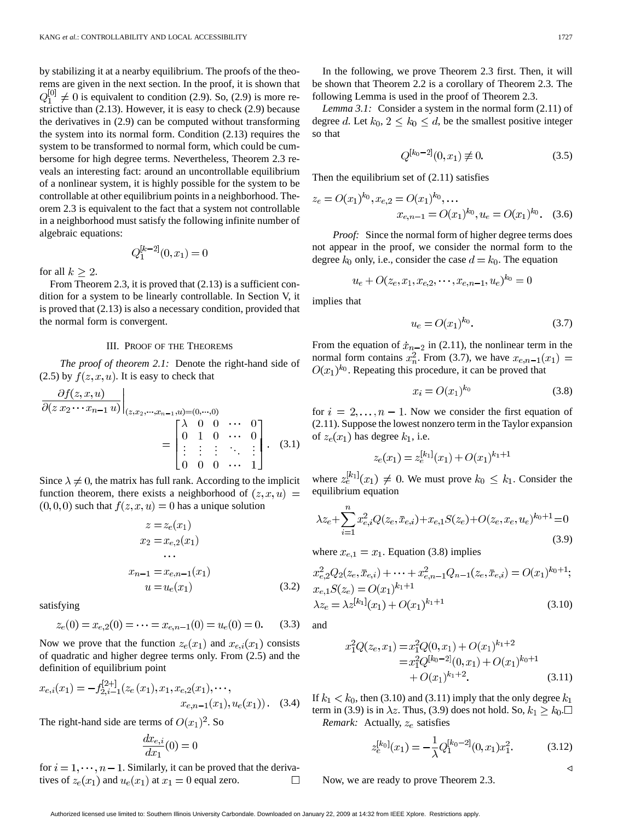by stabilizing it at a nearby equilibrium. The proofs of the theorems are given in the next section. In the proof, it is shown that  $Q_1^{[0]} \neq 0$  is equivalent to condition (2.9). So, (2.9) is more restrictive than (2.13). However, it is easy to check (2.9) because the derivatives in (2.9) can be computed without transforming the system into its normal form. Condition (2.13) requires the system to be transformed to normal form, which could be cumbersome for high degree terms. Nevertheless, Theorem 2.3 reveals an interesting fact: around an uncontrollable equilibrium of a nonlinear system, it is highly possible for the system to be controllable at other equilibrium points in a neighborhood. Theorem 2.3 is equivalent to the fact that a system not controllable in a neighborhood must satisfy the following infinite number of algebraic equations:

$$
Q_1^{[k-2]}(0, x_1) = 0
$$

for all  $k \geq 2$ .

From Theorem 2.3, it is proved that  $(2.13)$  is a sufficient condition for a system to be linearly controllable. In Section V, it is proved that (2.13) is also a necessary condition, provided that the normal form is convergent.

#### III. PROOF OF THE THEOREMS

*The proof of theorem 2.1:* Denote the right-hand side of (2.5) by  $f(z, x, u)$ . It is easy to check that

$$
\frac{\partial f(z, x, u)}{\partial (z x_2 \cdots x_{n-1} u)}\Big|_{(z, x_2, \cdots, x_{n-1}, u)=(0, \cdots, 0)}
$$
\n
$$
= \begin{bmatrix}\n\lambda & 0 & 0 & \cdots & 0 \\
0 & 1 & 0 & \cdots & 0 \\
\vdots & \vdots & \vdots & \ddots & \vdots \\
0 & 0 & 0 & \cdots & 1\n\end{bmatrix}.
$$
\n(3.1)

Since  $\lambda \neq 0$ , the matrix has full rank. According to the implicit function theorem, there exists a neighborhood of  $(z, x, u) =$  $(0,0,0)$  such that  $f(z, x, u) = 0$  has a unique solution

$$
z = z_e(x_1)
$$
  
\n
$$
x_2 = x_{e,2}(x_1)
$$
  
\n...  
\n
$$
x_{n-1} = x_{e,n-1}(x_1)
$$
  
\n
$$
u = u_e(x_1)
$$
 (3.2)

satisfying

$$
z_e(0) = x_{e,2}(0) = \dots = x_{e,n-1}(0) = u_e(0) = 0. \tag{3.3}
$$

Now we prove that the function  $z_e(x_1)$  and  $x_{e,i}(x_1)$  consists of quadratic and higher degree terms only. From (2.5) and the definition of equilibrium point

$$
x_{e,i}(x_1) = -f_{2,i-1}^{[2+]}(z_e(x_1), x_1, x_{e,2}(x_1), \cdots, \newline x_{e,n-1}(x_1), u_e(x_1)).
$$
 (3.4)

The right-hand side are terms of  $O(x_1)^2$ . So

$$
\frac{dx_{e,i}}{dx_1}(0) = 0
$$

for  $i = 1, \dots, n - 1$ . Similarly, it can be proved that the derivatives of  $z_e(x_1)$  and  $u_e(x_1)$  at  $x_1 = 0$  equal zero.  $\Box$ 

In the following, we prove Theorem 2.3 first. Then, it will be shown that Theorem 2.2 is a corollary of Theorem 2.3. The following Lemma is used in the proof of Theorem 2.3.

*Lemma 3.1:* Consider a system in the normal form (2.11) of degree d. Let  $k_0, 2 \leq k_0 \leq d$ , be the smallest positive integer so that

$$
Q^{[k_0-2]}(0, x_1) \not\equiv 0. \tag{3.5}
$$

Then the equilibrium set of (2.11) satisfies

$$
z_e = O(x_1)^{k_0}, x_{e,2} = O(x_1)^{k_0}, \dots
$$
  

$$
x_{e,n-1} = O(x_1)^{k_0}, u_e = O(x_1)^{k_0}. \quad (3.6)
$$

*Proof:* Since the normal form of higher degree terms does not appear in the proof, we consider the normal form to the degree  $k_0$  only, i.e., consider the case  $d = k_0$ . The equation

$$
u_e + O(z_e, x_1, x_{e,2}, \cdots, x_{e,n-1}, u_e)^{k_0} = 0
$$

implies that

$$
u_e = O(x_1)^{k_0}.\t\t(3.7)
$$

From the equation of  $\dot{x}_{n-2}$  in (2.11), the nonlinear term in the normal form contains  $x_n^2$ . From (3.7), we have  $O(x_1)^{k_0}$ . Repeating this procedure, it can be proved that

$$
x_i = O(x_1)^{k_0} \tag{3.8}
$$

for  $i = 2, \ldots, n - 1$ . Now we consider the first equation of (2.11). Suppose the lowest nonzero term in the Taylor expansion of  $z_e(x_1)$  has degree  $k_1$ , i.e.

$$
z_e(x_1) = z_e^{[k_1]}(x_1) + O(x_1)^{k_1+1}
$$

where  $z_e^{[k_1]}(x_1) \neq 0$ . We must prove  $k_0 \leq k_1$ . Consider the equilibrium equation

$$
\lambda z_e + \sum_{i=1}^{n} x_{e,i}^2 Q(z_e, \bar{x}_{e,i}) + x_{e,1} S(z_e) + O(z_e, x_e, u_e)^{k_0+1} = 0
$$
\n(3.9)

where  $x_{e,1} = x_1$ . Equation (3.8) implies

$$
x_{e,2}^2 Q_2(z_e, \bar{x}_{e,i}) + \dots + x_{e,n-1}^2 Q_{n-1}(z_e, \bar{x}_{e,i}) = O(x_1)^{k_0+1};
$$
  
\n
$$
x_{e,1} S(z_e) = O(x_1)^{k_1+1}
$$
  
\n
$$
\lambda z_e = \lambda z^{[k_1]}(x_1) + O(x_1)^{k_1+1}
$$
\n(3.10)

and

$$
x_1^2 Q(z_e, x_1) = x_1^2 Q(0, x_1) + O(x_1)^{k_1+2}
$$
  
= 
$$
x_1^2 Q^{[k_0-2]}(0, x_1) + O(x_1)^{k_0+1}
$$
  
+ 
$$
O(x_1)^{k_1+2}.
$$
 (3.11)

If  $k_1 < k_0$ , then (3.10) and (3.11) imply that the only degree  $k_1$ term in (3.9) is in  $\lambda z$ . Thus, (3.9) does not hold. So,  $k_1 \geq k_0$ . *Remark:* Actually,  $z_e$  satisfies

$$
z_e^{[k_0]}(x_1) = -\frac{1}{\lambda} Q_1^{[k_0-2]}(0, x_1) x_1^2.
$$
 (3.12)

 $\triangleleft$ 

Now, we are ready to prove Theorem 2.3.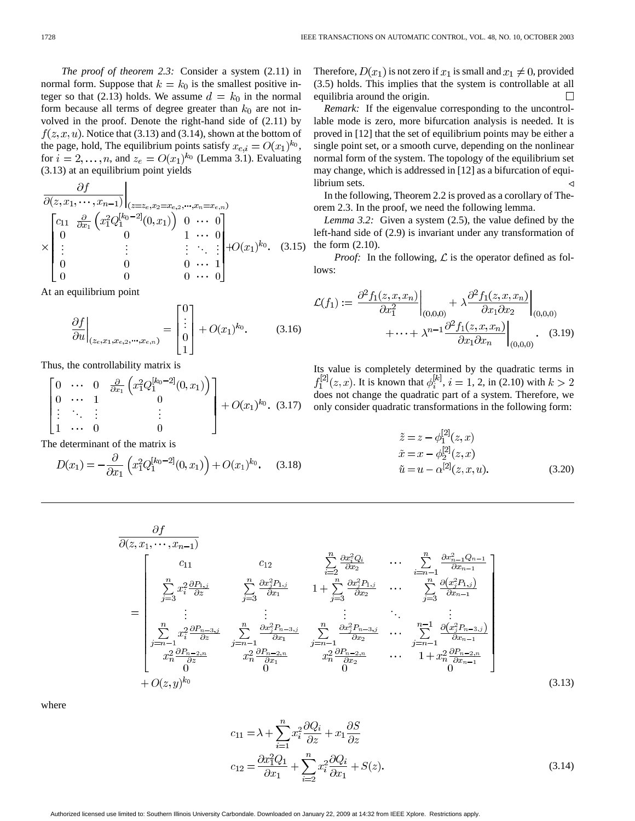*The proof of theorem 2.3:* Consider a system (2.11) in normal form. Suppose that  $k = k_0$  is the smallest positive integer so that (2.13) holds. We assume  $d = k_0$  in the normal form because all terms of degree greater than  $k_0$  are not involved in the proof. Denote the right-hand side of (2.11) by  $f(z, x, u)$ . Notice that (3.13) and (3.14), shown at the bottom of the page, hold, The equilibrium points satisfy  $x_{e,i} = O(x_1)^{k_0}$ , for  $i = 2, ..., n$ , and  $z_e = O(x_1)^{k_0}$  (Lemma 3.1). Evaluating (3.13) at an equilibrium point yields

$$
\frac{\partial f}{\partial(z, x_1, \dots, x_{n-1})}\Big|_{(z=z_e, x_2=x_{e,2}, \dots, x_n=x_{e,n})}
$$
\n
$$
\times \begin{bmatrix}\nc_{11} & \frac{\partial}{\partial x_1} (x_1^2 Q_1^{[k_0-2]}(0, x_1)) & 0 & \cdots & 0 \\
0 & 0 & 1 & \cdots & 0 \\
\vdots & \vdots & \vdots & \ddots & \vdots \\
0 & 0 & 0 & \cdots & 1 \\
0 & 0 & 0 & \cdots & 0\n\end{bmatrix} + O(x_1)^{k_0}.
$$
\n(3.15)

At an equilibrium point

$$
\left. \frac{\partial f}{\partial u} \right|_{(z_e, x_1, x_{e,2}, \cdots, x_{e,n})} = \begin{bmatrix} 0 \\ \vdots \\ 0 \\ 1 \end{bmatrix} + O(x_1)^{k_0}.
$$
 (3.16)

Thus, the controllability matrix is

$$
\begin{bmatrix} 0 & \cdots & 0 & \frac{\partial}{\partial x_1} \left( x_1^2 Q_1^{[k_0-2]}(0, x_1) \right) \\ 0 & \cdots & 1 & 0 \\ \vdots & \ddots & \vdots & \vdots \\ 1 & \cdots & 0 & 0 \end{bmatrix} + O(x_1)^{k_0}. \quad (3.17)
$$

The determinant of the matrix is

$$
D(x_1) = -\frac{\partial}{\partial x_1} \left( x_1^2 Q_1^{[k_0 - 2]}(0, x_1) \right) + O(x_1)^{k_0}.
$$
 (3.18)

Therefore,  $D(x_1)$  is not zero if  $x_1$  is small and  $x_1 \neq 0$ , provided (3.5) holds. This implies that the system is controllable at all equilibria around the origin.  $\Box$ 

*Remark:* If the eigenvalue corresponding to the uncontrollable mode is zero, more bifurcation analysis is needed. It is proved in [12] that the set of equilibrium points may be either a single point set, or a smooth curve, depending on the nonlinear normal form of the system. The topology of the equilibrium set may change, which is addressed in [12] as a bifurcation of equilibrium sets. ◁

In the following, Theorem 2.2 is proved as a corollary of Theorem 2.3. In the proof, we need the following lemma.

*Lemma 3.2:* Given a system (2.5), the value defined by the left-hand side of (2.9) is invariant under any transformation of the form (2.10).

*Proof:* In the following,  $\mathcal L$  is the operator defined as follows:

$$
\mathcal{L}(f_1) := \frac{\partial^2 f_1(z, x, x_n)}{\partial x_1^2} \bigg|_{(0,0,0)} + \lambda \frac{\partial^2 f_1(z, x, x_n)}{\partial x_1 \partial x_2} \bigg|_{(0,0,0)} + \cdots + \lambda^{n-1} \frac{\partial^2 f_1(z, x, x_n)}{\partial x_1 \partial x_n} \bigg|_{(0,0,0)}.
$$
 (3.19)

Its value is completely determined by the quadratic terms in . It is known that  $\phi_i^{k}$ ,  $i = 1, 2$ , in (2.10) with does not change the quadratic part of a system. Therefore, we only consider quadratic transformations in the following form:

$$
\tilde{z} = z - \phi_1^{[2]}(z, x) \n\tilde{x} = x - \phi_2^{[2]}(z, x) \n\tilde{u} = u - \alpha^{[2]}(z, x, u).
$$
\n(3.20)

$$
\frac{\partial f}{\partial(z, x_1, \dots, x_{n-1})}
$$
\n
$$
\frac{\partial f}{\partial(z, x_1, \dots, x_{n-1})}
$$
\n
$$
\frac{\partial f}{\partial(z, x_1, \dots, x_{n-1})}
$$
\n
$$
\frac{\partial f}{\partial(z, x_1, \dots, x_{n-1})}
$$
\n
$$
\frac{\partial f}{\partial(z, x_1, \dots, x_{n-1})}
$$
\n
$$
\frac{\partial f}{\partial(z, x_1, \dots, x_{n-1})}
$$
\n
$$
\frac{\partial f}{\partial(z, x_1, \dots, x_{n-1})}
$$
\n
$$
\frac{\partial f}{\partial(z, x_1, \dots, x_{n-1})}
$$
\n
$$
\frac{\partial f}{\partial(z, x_1, \dots, x_{n-1})}
$$
\n
$$
\frac{\partial f}{\partial(z, x_1, \dots, x_{n-1})}
$$
\n
$$
\frac{\partial f}{\partial(z, x_1, \dots, x_{n-1})}
$$
\n
$$
\frac{\partial f}{\partial(z, x_1, \dots, x_{n-1})}
$$
\n
$$
\frac{\partial f}{\partial(z, x_1, \dots, x_{n-1})}
$$
\n
$$
\frac{\partial f}{\partial(z, x_1, \dots, x_{n-1})}
$$
\n
$$
\frac{\partial f}{\partial(z, x_1, \dots, x_{n-1})}
$$
\n
$$
\frac{\partial f}{\partial(z, x_1, \dots, x_{n-1})}
$$
\n
$$
\frac{\partial f}{\partial(z, x_1, \dots, x_{n-1})}
$$
\n
$$
\frac{\partial f}{\partial(z, x_1, \dots, x_{n-1})}
$$
\n
$$
\frac{\partial f}{\partial(z, x_1, \dots, x_{n-1})}
$$
\n
$$
\frac{\partial f}{\partial(z, x_1, \dots, x_{n-1})}
$$
\n
$$
\frac{\partial f}{\partial(z, x_1, \dots, x_{n-1})}
$$
\n
$$
\frac{\partial f}{\partial(z, x_1, \dots, x_{n-1})}
$$
\n
$$
\frac{\partial f}{\partial(z, x_1, \dots, x_{n-1})}
$$
\n
$$
\frac{\partial f}{\partial(z, x_1, \dots, x_{n-1})}
$$

where

$$
c_{11} = \lambda + \sum_{i=1}^{n} x_i^2 \frac{\partial Q_i}{\partial z} + x_1 \frac{\partial S}{\partial z}
$$
  

$$
c_{12} = \frac{\partial x_1^2 Q_1}{\partial x_1} + \sum_{i=2}^{n} x_i^2 \frac{\partial Q_i}{\partial x_1} + S(z).
$$
 (3.14)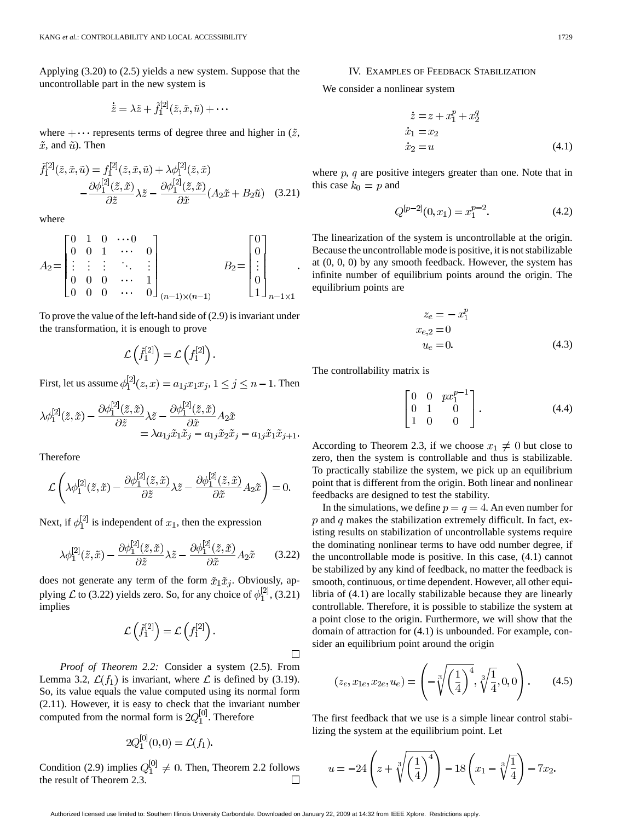Applying (3.20) to (2.5) yields a new system. Suppose that the uncontrollable part in the new system is

$$
\dot{\tilde{z}} = \lambda \tilde{z} + \tilde{f}_1^{[2]}(\tilde{z}, \tilde{x}, \tilde{u}) + \cdots
$$

where  $+\cdots$  represents terms of degree three and higher in  $(\tilde{z}, \tilde{z})$  $\tilde{x}$ , and  $\tilde{u}$ ). Then

$$
\tilde{f}_1^{[2]}(\tilde{z}, \tilde{x}, \tilde{u}) = f_1^{[2]}(\tilde{z}, \tilde{x}, \tilde{u}) + \lambda \phi_1^{[2]}(\tilde{z}, \tilde{x}) \n- \frac{\partial \phi_1^{[2]}(\tilde{z}, \tilde{x})}{\partial \tilde{z}} \lambda \tilde{z} - \frac{\partial \phi_1^{[2]}(\tilde{z}, \tilde{x})}{\partial \tilde{x}} (A_2 \tilde{x} + B_2 \tilde{u}) \quad (3.21)
$$

where

$$
A_2 = \begin{bmatrix} 0 & 1 & 0 & \cdots & 0 \\ 0 & 0 & 1 & \cdots & 0 \\ \vdots & \vdots & \vdots & \ddots & \vdots \\ 0 & 0 & 0 & \cdots & 1 \\ 0 & 0 & 0 & \cdots & 0 \end{bmatrix}_{(n-1)\times(n-1)} \qquad B_2 = \begin{bmatrix} 0 \\ 0 \\ \vdots \\ 0 \\ 1 \end{bmatrix}_{n-1\times1}.
$$

To prove the value of the left-hand side of (2.9) is invariant under the transformation, it is enough to prove

$$
\mathcal{L}\left(\widetilde{f}_1^{[2]}\right) = \mathcal{L}\left(f_1^{[2]}\right).
$$

First, let us assume  $\phi_1^{[2]}(z, x) = a_{1i}x_1x_i, 1 \le j \le n-1$ . Then

$$
\lambda \phi_1^{[2]}(\tilde{z}, \tilde{x}) - \frac{\partial \phi_1^{[2]}(\tilde{z}, \tilde{x})}{\partial \tilde{z}} \lambda \tilde{z} - \frac{\partial \phi_1^{[2]}(\tilde{z}, \tilde{x})}{\partial \tilde{x}} A_2 \tilde{x}
$$
  
=  $\lambda a_{1j} \tilde{x}_1 \tilde{x}_j - a_{1j} \tilde{x}_2 \tilde{x}_j - a_{1j} \tilde{x}_1 \tilde{x}_{j+1}.$ 

Therefore

$$
\mathcal{L}\left(\lambda\phi_1^{[2]}(\tilde{z},\tilde{x})-\frac{\partial\phi_1^{[2]}(\tilde{z},\tilde{x})}{\partial \tilde{z}}\lambda\tilde{z}-\frac{\partial\phi_1^{[2]}(\tilde{z},\tilde{x})}{\partial \tilde{x}}A_2\tilde{x}\right)=0.
$$

Next, if  $\phi_1^{[2]}$  is independent of  $x_1$ , then the expression

$$
\lambda \phi_1^{[2]}(\tilde{z}, \tilde{x}) - \frac{\partial \phi_1^{[2]}(\tilde{z}, \tilde{x})}{\partial \tilde{z}} \lambda \tilde{z} - \frac{\partial \phi_1^{[2]}(\tilde{z}, \tilde{x})}{\partial \tilde{x}} A_2 \tilde{x}
$$
 (3.22)

does not generate any term of the form  $\tilde{x}_1 \tilde{x}_j$ . Obviously, applying  $\mathcal L$  to (3.22) yields zero. So, for any choice of  $\phi_1^{[2]}$ , (3.21) implies

$$
\mathcal{L}\left(\widetilde{f}_1^{[2]}\right) = \mathcal{L}\left(f_1^{[2]}\right).
$$

*Proof of Theorem 2.2:* Consider a system (2.5). From Lemma 3.2,  $\mathcal{L}(f_1)$  is invariant, where  $\mathcal L$  is defined by (3.19). So, its value equals the value computed using its normal form (2.11). However, it is easy to check that the invariant number computed from the normal form is  $2Q_1^{[0]}$ . Therefore

$$
2Q_1^{[0]}(0,0) = \mathcal{L}(f_1).
$$

Condition (2.9) implies  $Q_1^{[0]} \neq 0$ . Then, Theorem 2.2 follows the result of Theorem 2.3.

#### IV. EXAMPLES OF FEEDBACK STABILIZATION

We consider a nonlinear system

$$
\begin{aligned}\n\dot{z} &= z + x_1^p + x_2^q \\
\dot{x}_1 &= x_2 \\
\dot{x}_2 &= u\n\end{aligned} \tag{4.1}
$$

where  $p$ ,  $q$  are positive integers greater than one. Note that in this case  $k_0 = p$  and

$$
Q^{[p-2]}(0, x_1) = x_1^{p-2}.
$$
\n(4.2)

The linearization of the system is uncontrollable at the origin. Because the uncontrollable mode is positive, it is not stabilizable at (0, 0, 0) by any smooth feedback. However, the system has infinite number of equilibrium points around the origin. The equilibrium points are

$$
z_e = -x_1^p
$$
  
\n
$$
x_{e,2} = 0
$$
  
\n
$$
u_e = 0.
$$
\n(4.3)

The controllability matrix is

$$
\begin{bmatrix} 0 & 0 & px_1^{p-1} \\ 0 & 1 & 0 \\ 1 & 0 & 0 \end{bmatrix}.
$$
 (4.4)

According to Theorem 2.3, if we choose  $x_1 \neq 0$  but close to zero, then the system is controllable and thus is stabilizable. To practically stabilize the system, we pick up an equilibrium point that is different from the origin. Both linear and nonlinear feedbacks are designed to test the stability.

In the simulations, we define  $p = q = 4$ . An even number for  $p$  and  $q$  makes the stabilization extremely difficult. In fact, existing results on stabilization of uncontrollable systems require the dominating nonlinear terms to have odd number degree, if the uncontrollable mode is positive. In this case, (4.1) cannot be stabilized by any kind of feedback, no matter the feedback is smooth, continuous, or time dependent. However, all other equilibria of (4.1) are locally stabilizable because they are linearly controllable. Therefore, it is possible to stabilize the system at a point close to the origin. Furthermore, we will show that the domain of attraction for (4.1) is unbounded. For example, consider an equilibrium point around the origin

$$
(z_e, x_{1e}, x_{2e}, u_e) = \left(-\sqrt[3]{\left(\frac{1}{4}\right)^4}, \sqrt[3]{\frac{1}{4}}, 0, 0\right). \tag{4.5}
$$

The first feedback that we use is a simple linear control stabilizing the system at the equilibrium point. Let

$$
u = -24\left(z + \sqrt[3]{\left(\frac{1}{4}\right)^4}\right) - 18\left(x_1 - \sqrt[3]{\frac{1}{4}}\right) - 7x_2.
$$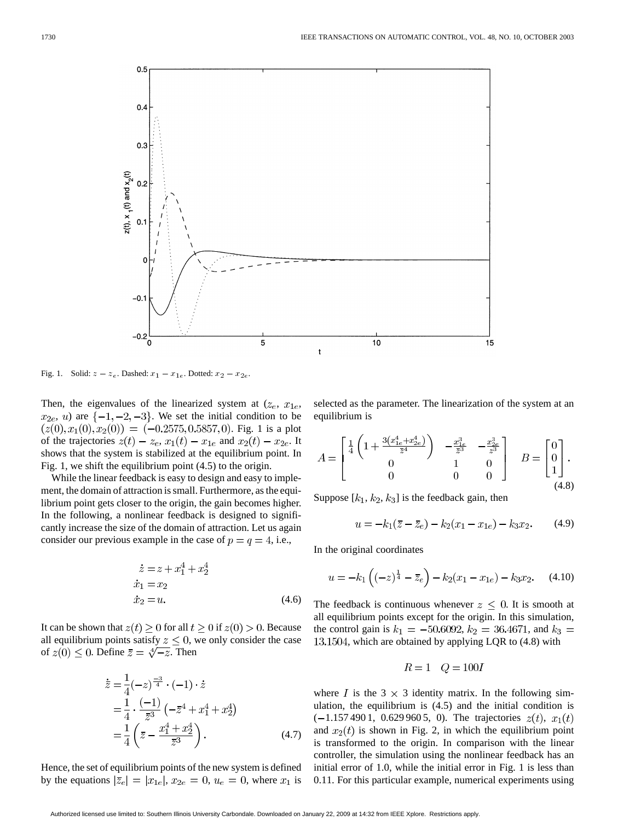

Then, the eigenvalues of the linearized system at  $(z_e, x_{1e},$  $x_{2e}$ , *u*) are  $\{-1, -2, -3\}$ . We set the initial condition to be  $(z(0), x_1(0), x_2(0)) = (-0.2575, 0.5857, 0)$ . Fig. 1 is a plot of the trajectories  $z(t) - z_e$ ,  $x_1(t) - x_{1e}$  and  $x_2(t) - x_{2e}$ . It shows that the system is stabilized at the equilibrium point. In Fig. 1, we shift the equilibrium point (4.5) to the origin.

While the linear feedback is easy to design and easy to implement, the domain of attraction is small. Furthermore, as the equilibrium point gets closer to the origin, the gain becomes higher. In the following, a nonlinear feedback is designed to significantly increase the size of the domain of attraction. Let us again consider our previous example in the case of  $p = q = 4$ , i.e.,

$$
\begin{aligned}\n\dot{z} &= z + x_1^4 + x_2^4 \\
\dot{x}_1 &= x_2 \\
\dot{x}_2 &= u.\n\end{aligned} \tag{4.6}
$$

It can be shown that  $z(t) \ge 0$  for all  $t \ge 0$  if  $z(0) > 0$ . Because all equilibrium points satisfy  $z \leq 0$ , we only consider the case of  $z(0) \leq 0$ . Define  $\overline{z} = \sqrt[4]{-z}$ . Then

$$
\dot{\overline{z}} = \frac{1}{4}(-z)^{\frac{-3}{4}} \cdot (-1) \cdot \dot{z}
$$
  
\n
$$
= \frac{1}{4} \cdot \frac{(-1)}{\overline{z}^3} \left( -\overline{z}^4 + x_1^4 + x_2^4 \right)
$$
  
\n
$$
= \frac{1}{4} \left( \overline{z} - \frac{x_1^4 + x_2^4}{\overline{z}^3} \right).
$$
 (4.7)

Hence, the set of equilibrium points of the new system is defined by the equations  $|\bar{z}_e| = |x_{1e}|, x_{2e} = 0, u_e = 0$ , where  $x_1$  is selected as the parameter. The linearization of the system at an equilibrium is

$$
A = \begin{bmatrix} \frac{1}{4} \left( 1 + \frac{3(x_{1e}^4 + x_{2e}^4)}{\bar{z}^4} \right) & -\frac{x_{1e}^3}{\bar{z}^3} & -\frac{x_{2e}^3}{\bar{z}^3} \\ 0 & 1 & 0 \\ 0 & 0 & 0 \end{bmatrix} \quad B = \begin{bmatrix} 0 \\ 0 \\ 1 \end{bmatrix}.
$$
\n
$$
(4.8)
$$

Suppose  $[k_1, k_2, k_3]$  is the feedback gain, then

$$
u = -k_1(\bar{z} - \bar{z}_e) - k_2(x_1 - x_{1e}) - k_3x_2.
$$
 (4.9)

In the original coordinates

1

$$
u = -k_1 \left( (-z)^{\frac{1}{4}} - \bar{z}_e \right) - k_2 (x_1 - x_{1e}) - k_3 x_2. \tag{4.10}
$$

The feedback is continuous whenever  $z \leq 0$ . It is smooth at all equilibrium points except for the origin. In this simulation, the control gain is  $k_1 = -50.6092$ ,  $k_2 = 36.4671$ , and  $k_3 =$  $13.1504$ , which are obtained by applying LQR to  $(4.8)$  with

$$
R = 1 \quad Q = 100I
$$

where I is the 3  $\times$  3 identity matrix. In the following simulation, the equilibrium is (4.5) and the initial condition is  $(-1.157\,490\,1, 0.629\,960\,5, 0)$ . The trajectories  $z(t)$ ,  $x_1(t)$ and  $x_2(t)$  is shown in Fig. 2, in which the equilibrium point is transformed to the origin. In comparison with the linear controller, the simulation using the nonlinear feedback has an initial error of 1.0, while the initial error in Fig. 1 is less than 0.11. For this particular example, numerical experiments using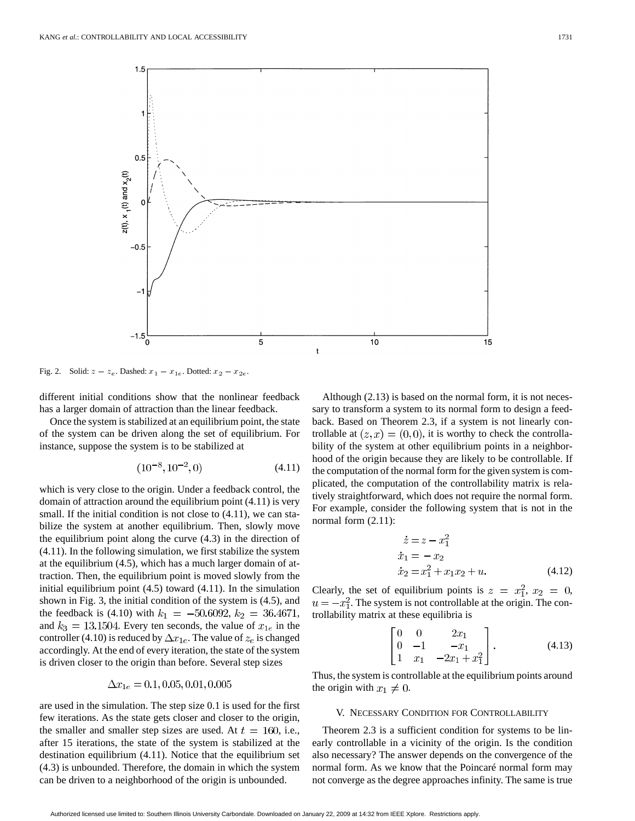

different initial conditions show that the nonlinear feedback has a larger domain of attraction than the linear feedback.

Once the system is stabilized at an equilibrium point, the state of the system can be driven along the set of equilibrium. For instance, suppose the system is to be stabilized at

$$
(10^{-8}, 10^{-2}, 0) \tag{4.11}
$$

which is very close to the origin. Under a feedback control, the domain of attraction around the equilibrium point (4.11) is very small. If the initial condition is not close to  $(4.11)$ , we can stabilize the system at another equilibrium. Then, slowly move the equilibrium point along the curve (4.3) in the direction of (4.11). In the following simulation, we first stabilize the system at the equilibrium (4.5), which has a much larger domain of attraction. Then, the equilibrium point is moved slowly from the initial equilibrium point (4.5) toward (4.11). In the simulation shown in Fig. 3, the initial condition of the system is (4.5), and the feedback is (4.10) with  $k_1 = -50.6092$ ,  $k_2 = 36.4671$ , and  $k_3 = 13.1504$ . Every ten seconds, the value of  $x_{1e}$  in the controller (4.10) is reduced by  $\Delta x_{1e}$ . The value of  $z_e$  is changed accordingly. At the end of every iteration, the state of the system is driven closer to the origin than before. Several step sizes

$$
\Delta x_{1e} = 0.1, 0.05, 0.01, 0.005
$$

are used in the simulation. The step size 0.1 is used for the first few iterations. As the state gets closer and closer to the origin, the smaller and smaller step sizes are used. At  $t = 160$ , i.e., after 15 iterations, the state of the system is stabilized at the destination equilibrium (4.11). Notice that the equilibrium set (4.3) is unbounded. Therefore, the domain in which the system can be driven to a neighborhood of the origin is unbounded.

Although (2.13) is based on the normal form, it is not necessary to transform a system to its normal form to design a feedback. Based on Theorem 2.3, if a system is not linearly controllable at  $(z, x) = (0, 0)$ , it is worthy to check the controllability of the system at other equilibrium points in a neighborhood of the origin because they are likely to be controllable. If the computation of the normal form for the given system is complicated, the computation of the controllability matrix is relatively straightforward, which does not require the normal form. For example, consider the following system that is not in the normal form (2.11):

$$
\begin{aligned}\n\dot{z} &= z - x_1^2 \\
\dot{x}_1 &= -x_2 \\
\dot{x}_2 &= x_1^2 + x_1 x_2 + u.\n\end{aligned} \tag{4.12}
$$

Clearly, the set of equilibrium points is  $z = x_1^2$ ,  $x_2 = 0$ ,  $u = -x_1^2$ . The system is not controllable at the origin. The controllability matrix at these equilibria is

$$
\begin{bmatrix} 0 & 0 & 2x_1 \\ 0 & -1 & -x_1 \\ 1 & x_1 & -2x_1 + x_1^2 \end{bmatrix}.
$$
 (4.13)

Thus, the system is controllable at the equilibrium points around the origin with  $x_1 \neq 0$ .

#### V. NECESSARY CONDITION FOR CONTROLLABILITY

Theorem 2.3 is a sufficient condition for systems to be linearly controllable in a vicinity of the origin. Is the condition also necessary? The answer depends on the convergence of the normal form. As we know that the Poincaré normal form may not converge as the degree approaches infinity. The same is true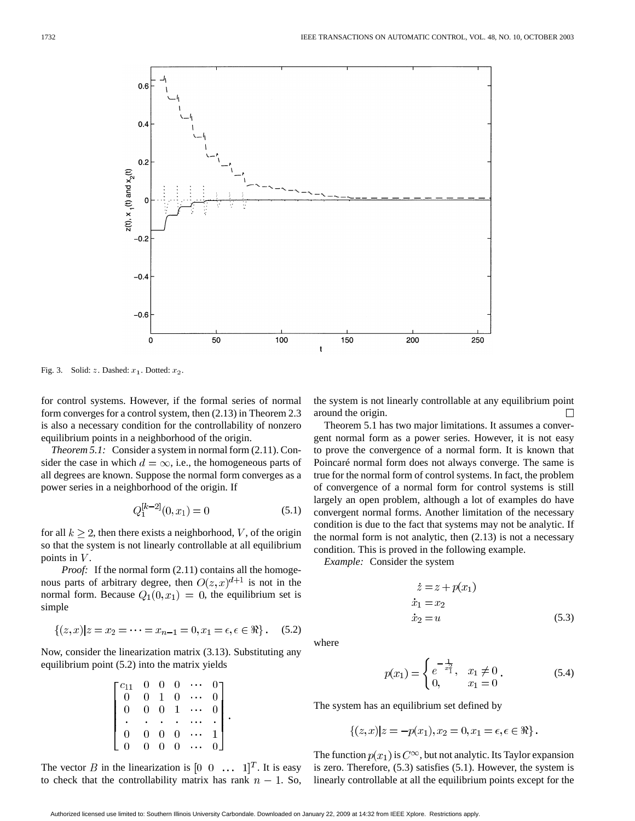

Fig. 3. Solid:  $z$ . Dashed:  $x_1$ . Dotted:  $x_2$ .

for control systems. However, if the formal series of normal form converges for a control system, then (2.13) in Theorem 2.3 is also a necessary condition for the controllability of nonzero equilibrium points in a neighborhood of the origin.

*Theorem 5.1:* Consider a system in normal form (2.11). Consider the case in which  $d = \infty$ , i.e., the homogeneous parts of all degrees are known. Suppose the normal form converges as a power series in a neighborhood of the origin. If

$$
Q_1^{[k-2]}(0, x_1) = 0 \tag{5.1}
$$

for all  $k > 2$ , then there exists a neighborhood, V, of the origin so that the system is not linearly controllable at all equilibrium points in  $V$ .

*Proof:* If the normal form (2.11) contains all the homogenous parts of arbitrary degree, then  $O(z, x)^{d+1}$  is not in the normal form. Because  $Q_1(0, x_1) = 0$ , the equilibrium set is simple

$$
\{(z,x)|z=x_2=\cdots=x_{n-1}=0,x_1=\epsilon,\epsilon\in\Re\}.
$$
 (5.2)

Now, consider the linearization matrix (3.13). Substituting any equilibrium point (5.2) into the matrix yields

| $\left\lceil\frac{c_{11}}{0}\right\rceil$ | U.       | $\vert 0 \vert$ | $\vert 0 \vert$ |  |
|-------------------------------------------|----------|-----------------|-----------------|--|
|                                           | 0        | $\mathbf{1}$    | $\overline{0}$  |  |
| $\theta$                                  | 0.       | $\overline{0}$  | $1\,$           |  |
|                                           |          |                 |                 |  |
| 0                                         | $\Omega$ | 0               | $\overline{0}$  |  |
|                                           | 0        | 0               | $\overline{0}$  |  |

The vector B in the linearization is  $[0 \ 0 \ \dots \ 1]^T$ . It is easy to check that the controllability matrix has rank  $n - 1$ . So,

the system is not linearly controllable at any equilibrium point around the origin. П

Theorem 5.1 has two major limitations. It assumes a convergent normal form as a power series. However, it is not easy to prove the convergence of a normal form. It is known that Poincaré normal form does not always converge. The same is true for the normal form of control systems. In fact, the problem of convergence of a normal form for control systems is still largely an open problem, although a lot of examples do have convergent normal forms. Another limitation of the necessary condition is due to the fact that systems may not be analytic. If the normal form is not analytic, then  $(2.13)$  is not a necessary condition. This is proved in the following example.

*Example:* Consider the system

$$
\begin{aligned}\n\dot{z} &= z + p(x_1) \\
\dot{x}_1 &= x_2 \\
\dot{x}_2 &= u\n\end{aligned} \tag{5.3}
$$

where

$$
p(x_1) = \begin{cases} e^{-\frac{1}{x_1^2}}, & x_1 \neq 0 \\ 0, & x_1 = 0 \end{cases}.
$$
 (5.4)

The system has an equilibrium set defined by

$$
\{(z,x)|z=-p(x_1),x_2=0,x_1=\epsilon,\epsilon\in\Re\}.
$$

The function  $p(x_1)$  is  $C^{\infty}$ , but not analytic. Its Taylor expansion is zero. Therefore, (5.3) satisfies (5.1). However, the system is linearly controllable at all the equilibrium points except for the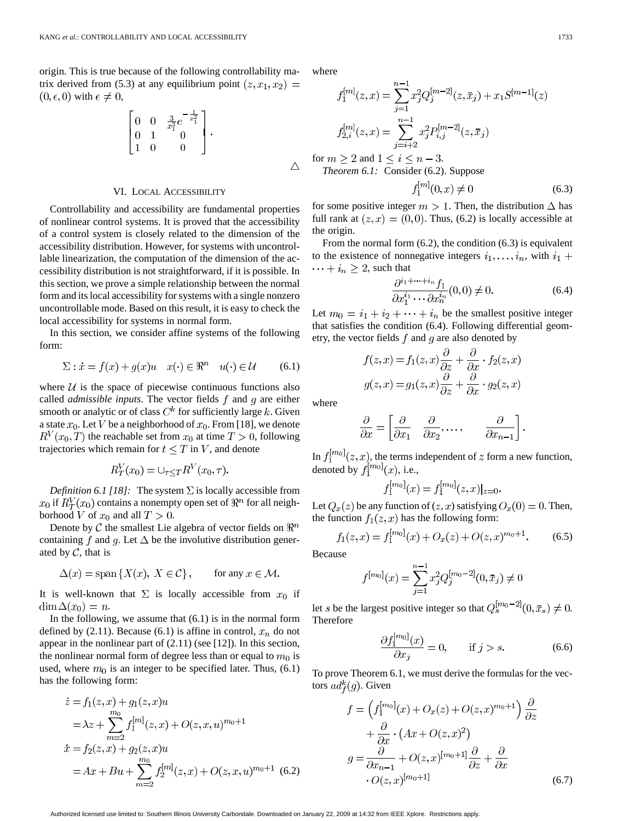origin. This is true because of the following controllability matrix derived from (5.3) at any equilibrium point  $(z, x_1, x_2)$  =  $(0, \epsilon, 0)$  with  $\epsilon \neq 0$ ,

$$
\begin{bmatrix} 0 & 0 & \frac{3}{x_1^3} e^{-\frac{1}{x_1^2}} \\ 0 & 1 & 0 \\ 1 & 0 & 0 \end{bmatrix}.
$$

#### VI. LOCAL ACCESSIBILITY

Controllability and accessibility are fundamental properties of nonlinear control systems. It is proved that the accessibility of a control system is closely related to the dimension of the accessibility distribution. However, for systems with uncontrollable linearization, the computation of the dimension of the accessibility distribution is not straightforward, if it is possible. In this section, we prove a simple relationship between the normal form and its local accessibility for systems with a single nonzero uncontrollable mode. Based on this result, it is easy to check the local accessibility for systems in normal form.

In this section, we consider affine systems of the following form:

$$
\Sigma: \dot{x} = f(x) + g(x)u \quad x(\cdot) \in \Re^n \quad u(\cdot) \in \mathcal{U} \tag{6.1}
$$

where  $U$  is the space of piecewise continuous functions also called *admissible inputs*. The vector fields  $f$  and  $g$  are either smooth or analytic or of class  $C^k$  for sufficiently large  $k$ . Given a state  $x_0$ . Let V be a neighborhood of  $x_0$ . From [18], we denote  $R^{V}(x_0,T)$  the reachable set from  $x_0$  at time  $T > 0$ , following trajectories which remain for  $t \leq T$  in V, and denote

$$
R_T^V(x_0) = \cup_{\tau < T} R^V(x_0, \tau).
$$

*Definition 6.1 [18]:* The system  $\Sigma$  is locally accessible from  $x_0$  if  $R^V_T(x_0)$  contains a nonempty open set of  $\mathbb{R}^n$  for all neighborhood V of  $x_0$  and all  $T > 0$ .

Denote by C the smallest Lie algebra of vector fields on  $\mathbb{R}^n$ containing f and g. Let  $\Delta$  be the involutive distribution generated by  $C$ , that is

$$
\Delta(x) = \text{span}\left\{X(x), \ X \in \mathcal{C}\right\}, \qquad \text{for any } x \in \mathcal{M}.
$$

It is well-known that  $\Sigma$  is locally accessible from  $x_0$  if  $\dim \Delta(x_0) = n.$ 

In the following, we assume that  $(6.1)$  is in the normal form defined by (2.11). Because (6.1) is affine in control,  $x_n$  do not appear in the nonlinear part of (2.11) (see [12]). In this section, the nonlinear normal form of degree less than or equal to  $m_0$  is used, where  $m_0$  is an integer to be specified later. Thus, (6.1) has the following form:

$$
\begin{aligned}\n\dot{z} &= f_1(z, x) + g_1(z, x)u \\
&= \lambda z + \sum_{m=2}^{m_0} f_1^{[m]}(z, x) + O(z, x, u)^{m_0 + 1} \\
\dot{x} &= f_2(z, x) + g_2(z, x)u \\
&= Ax + Bu + \sum_{m=2}^{m_0} f_2^{[m]}(z, x) + O(z, x, u)^{m_0 + 1} \tag{6.2}\n\end{aligned}
$$

where

 $\triangle$ 

$$
f_1^{[m]}(z, x) = \sum_{j=1}^{n-1} x_j^2 Q_j^{[m-2]}(z, \bar{x}_j) + x_1 S^{[m-1]}(z)
$$

$$
f_{2,i}^{[m]}(z, x) = \sum_{j=i+2}^{n-1} x_j^2 P_{i,j}^{[m-2]}(z, \bar{x}_j)
$$
for  $m \ge 2$  and  $1 \le i \le n-3$ .

*Theorem 6.1:* Consider (6.2). Suppose

$$
f_1^{[m]}(0, x) \neq 0 \tag{6.3}
$$

for some positive integer  $m > 1$ . Then, the distribution  $\Delta$  has full rank at  $(z, x) = (0, 0)$ . Thus, (6.2) is locally accessible at the origin.

From the normal form  $(6.2)$ , the condition  $(6.3)$  is equivalent to the existence of nonnegative integers  $i_1, \ldots, i_n$ , with  $i_1$  +  $\cdots + i_n \geq 2$ , such that

$$
\frac{\partial^{i_1+\cdots+i_n} f_1}{\partial x_1^{i_1}\cdots \partial x_n^{i_n}}(0,0) \neq 0.
$$
\n(6.4)

Let  $m_0 = i_1 + i_2 + \cdots + i_n$  be the smallest positive integer that satisfies the condition (6.4). Following differential geometry, the vector fields  $f$  and  $g$  are also denoted by

$$
f(z,x) = f_1(z,x)\frac{\partial}{\partial z} + \frac{\partial}{\partial x} \cdot f_2(z,x)
$$

$$
g(z,x) = g_1(z,x)\frac{\partial}{\partial z} + \frac{\partial}{\partial x} \cdot g_2(z,x)
$$

where

$$
\frac{\partial}{\partial x} = \begin{bmatrix} \frac{\partial}{\partial x_1} & \frac{\partial}{\partial x_2}, \dots, & \frac{\partial}{\partial x_{n-1}} \end{bmatrix}
$$

In  $f_1^{[m_0]}(z, x)$ , the terms independent of z form a new function, denoted by  $f_1^{[m_0]}(x)$ , i.e.,

$$
f_1^{[m_0]}(x) = f_1^{[m_0]}(z, x)|_{z=0}.
$$

Let  $Q_x(z)$  be any function of  $(z, x)$  satisfying  $O_x(0) = 0$ . Then, the function  $f_1(z, x)$  has the following form:

$$
f_1(z,x) = f_1^{[m_0]}(x) + O_x(z) + O(z,x)^{m_0+1}.
$$
 (6.5)

Because

$$
f^{[m_0]}(x) = \sum_{j=1}^{n-1} x_j^2 Q_j^{[m_0-2]}(0, \bar{x}_j) \neq 0
$$

let s be the largest positive integer so that  $Q_s^{[m_0-2]}(0, \bar{x}_s) \neq 0$ . Therefore

$$
\frac{\partial f_1^{[m_0]}(x)}{\partial x_j} = 0, \quad \text{if } j > s. \tag{6.6}
$$

To prove Theorem 6.1, we must derive the formulas for the vectors  $ad_f^k(g)$ . Given

$$
f = \left(f_1^{[m_0]}(x) + O_x(z) + O(z, x)^{m_0+1}\right)\frac{\partial}{\partial z}
$$

$$
+ \frac{\partial}{\partial x} \cdot \left(Ax + O(z, x)^2\right)
$$

$$
g = \frac{\partial}{\partial x_{n-1}} + O(z, x)^{[m_0+1]}\frac{\partial}{\partial z} + \frac{\partial}{\partial x}
$$

$$
\cdot O(z, x)^{[m_0+1]}
$$
(6.7)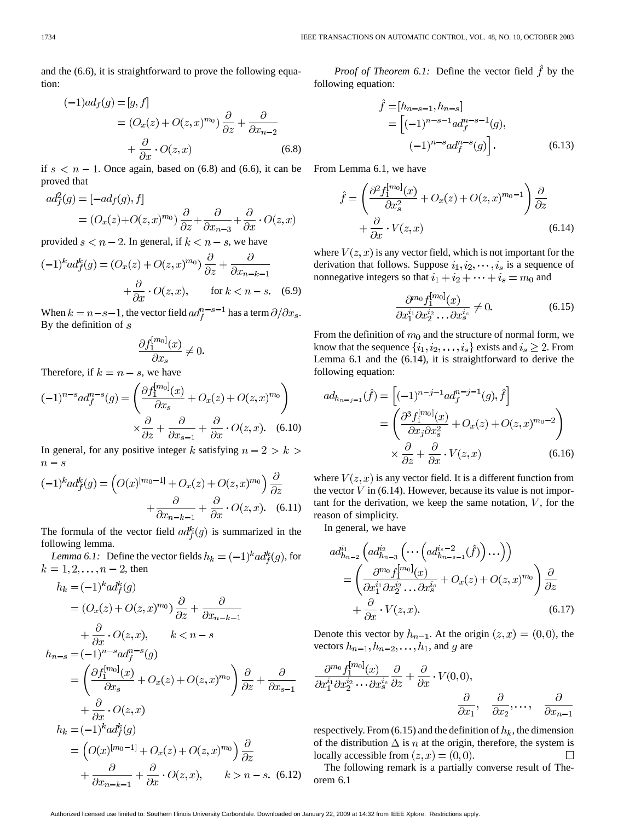and the (6.6), it is straightforward to prove the following equation:

$$
(-1)ad_f(g) = [g, f]
$$
  
=  $(O_x(z) + O(z, x)^{m_0}) \frac{\partial}{\partial z} + \frac{\partial}{\partial x_{n-2}}$   
+  $\frac{\partial}{\partial x} \cdot O(z, x)$  (6.8)

if  $s < n - 1$ . Once again, based on (6.8) and (6.6), it can be proved that

$$
ad_f^2(g) = [-ad_f(g), f]
$$
  
=  $(O_x(z) + O(z, x)^{m_0}) \frac{\partial}{\partial z} + \frac{\partial}{\partial x_{n-3}} + \frac{\partial}{\partial x} \cdot O(z, x)$ 

provided  $s < n - 2$ . In general, if  $k < n - s$ , we have

$$
(-1)^{k}ad_{f}^{k}(g) = (O_{x}(z) + O(z, x)^{m_{0}}) \frac{\partial}{\partial z} + \frac{\partial}{\partial x_{n-k-1}}
$$

$$
+ \frac{\partial}{\partial x} \cdot O(z, x), \quad \text{for } k < n - s. \quad (6.9)
$$

When  $k = n - s - 1$ , the vector field  $ad_f^{n-s-1}$  has a term  $\partial/\partial x_s$ . By the definition of  $s$ 

$$
\frac{\partial f_1^{[m_0]}(x)}{\partial x_s} \neq 0.
$$

Therefore, if  $k = n - s$ , we have

$$
(-1)^{n-s}ad_f^{n-s}(g) = \left(\frac{\partial f_1^{[m_0]}(x)}{\partial x_s} + O_x(z) + O(z, x)^{m_0}\right)
$$

$$
\times \frac{\partial}{\partial z} + \frac{\partial}{\partial x_{s-1}} + \frac{\partial}{\partial x} \cdot O(z, x). \quad (6.10)
$$

In general, for any positive integer k satisfying  $n - 2 > k$  $n - s$ 

$$
(-1)^{k}ad_{f}^{k}(g) = \left(O(x)^{[m_{0}-1]} + O_{x}(z) + O(z,x)^{m_{0}}\right)\frac{\partial}{\partial z}
$$

$$
+\frac{\partial}{\partial x_{n-k-1}} + \frac{\partial}{\partial x} \cdot O(z,x). \quad (6.11)
$$

The formula of the vector field  $ad_f^k(g)$  is summarized in the following lemma.

*Lemma 6.1:* Define the vector fields  $h_k = (-1)^k a d_f^k(g)$ , for  $k = 1, 2, ..., n - 2$ , then

$$
h_k = (-1)^k ad_f^k(g)
$$
  
\n
$$
= (O_x(z) + O(z, x)^{m_0}) \frac{\partial}{\partial z} + \frac{\partial}{\partial x_{n-k-1}}
$$
  
\n
$$
+ \frac{\partial}{\partial x} \cdot O(z, x), \qquad k < n - s
$$
  
\n
$$
h_{n-s} = (-1)^{n-s} ad_f^{n-s}(g)
$$
  
\n
$$
= \left( \frac{\partial f_1^{[m_0]}(x)}{\partial x_s} + O_x(z) + O(z, x)^{m_0} \right) \frac{\partial}{\partial z} + \frac{\partial}{\partial x_{s-1}}
$$
  
\n
$$
+ \frac{\partial}{\partial x} \cdot O(z, x)
$$
  
\n
$$
h_k = (-1)^k ad_f^k(g)
$$
  
\n
$$
= \left( O(x)^{[m_0 - 1]} + O_x(z) + O(z, x)^{m_0} \right) \frac{\partial}{\partial z}
$$
  
\n
$$
+ \frac{\partial}{\partial x_{n-k-1}} + \frac{\partial}{\partial x} \cdot O(z, x), \qquad k > n - s. \quad (6.12)
$$

*Proof of Theorem 6.1:* Define the vector field  $\hat{f}$  by the following equation:

$$
\hat{f} = [h_{n-s-1}, h_{n-s}]
$$
  
= 
$$
\left[ (-1)^{n-s-1} a d_f^{n-s-1}(g), -(-1)^{n-s} a d_f^{n-s}(g) \right].
$$
 (6.13)

From Lemma 6.1, we have

$$
\hat{f} = \left(\frac{\partial^2 f_1^{[m_0]}(x)}{\partial x_s^2} + O_x(z) + O(z, x)^{m_0 - 1}\right) \frac{\partial}{\partial z}
$$

$$
+ \frac{\partial}{\partial x} \cdot V(z, x) \tag{6.14}
$$

where  $V(z, x)$  is any vector field, which is not important for the derivation that follows. Suppose  $i_1, i_2, \dots, i_s$  is a sequence of nonnegative integers so that  $i_1 + i_2 + \cdots + i_s = m_0$  and

$$
\frac{\partial^{m_0} f_1^{[m_0]}(x)}{\partial x_1^{i_1} \partial x_2^{i_2} \dots \partial x_s^{i_s}} \neq 0.
$$
\n(6.15)

From the definition of  $m_0$  and the structure of normal form, we know that the sequence  $\{i_1, i_2, \ldots, i_s\}$  exists and  $i_s \geq 2$ . From Lemma 6.1 and the (6.14), it is straightforward to derive the following equation:

$$
ad_{h_{n-j-1}}(\hat{f}) = \left[(-1)^{n-j-1}ad_f^{n-j-1}(g), \hat{f}\right]
$$

$$
= \left(\frac{\partial^3 f_1^{[m_0]}(x)}{\partial x_j \partial x_s^2} + O_x(z) + O(z, x)^{m_0-2}\right)
$$

$$
\times \frac{\partial}{\partial z} + \frac{\partial}{\partial x} \cdot V(z, x) \tag{6.16}
$$

where  $V(z, x)$  is any vector field. It is a different function from the vector  $V$  in (6.14). However, because its value is not important for the derivation, we keep the same notation,  $V$ , for the reason of simplicity.

In general, we have

$$
ad_{h_{n-2}}^{i_1} \left( ad_{h_{n-3}}^{i_2} \left( \cdots \left( ad_{h_{n-s-1}}^{i_s-2}(\hat{f}) \right) \cdots \right) \right)
$$
  
= 
$$
\left( \frac{\partial^{m_0} f_1^{[m_0]}(x)}{\partial x_1^{i_1} \partial x_2^{i_2} \cdots \partial x_s^{i_s}} + O_x(z) + O(z, x)^{m_0} \right) \frac{\partial}{\partial z}
$$
  
+ 
$$
\frac{\partial}{\partial x} \cdot V(z, x).
$$
 (6.17)

Denote this vector by  $h_{n-1}$ . At the origin  $(z, x) = (0, 0)$ , the vectors  $h_{n-1}, h_{n-2}, \ldots, h_1$ , and g are

$$
\frac{\partial^{m_0} f_1^{[m_0]}(x)}{\partial x_1^{i_1} \partial x_2^{i_2} \cdots \partial x_s^{i_s}} \frac{\partial}{\partial z} + \frac{\partial}{\partial x} \cdot V(0,0),
$$
\n
$$
\frac{\partial}{\partial x_1}, \quad \frac{\partial}{\partial x_2}, \dots, \quad \frac{\partial}{\partial x_{n-1}}
$$

respectively. From (6.15) and the definition of  $h_k$ , the dimension of the distribution  $\Delta$  is n at the origin, therefore, the system is locally accessible from  $(z, x) = (0, 0)$ .  $\Box$ 

The following remark is a partially converse result of Theorem 6.1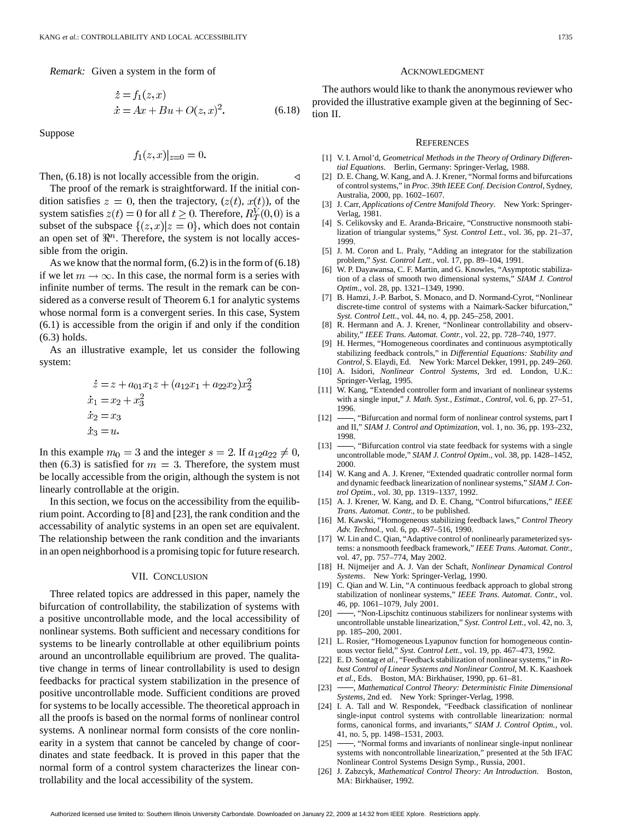*Remark:* Given a system in the form of

$$
\begin{aligned}\n\dot{z} &= f_1(z, x) \\
\dot{x} &= Ax + Bu + O(z, x)^2.\n\end{aligned} \tag{6.18}
$$

◁

Suppose

$$
f_1(z,x)|_{z=0}=0.
$$

Then, (6.18) is not locally accessible from the origin.

The proof of the remark is straightforward. If the initial condition satisfies  $z = 0$ , then the trajectory,  $(z(t), x(t))$ , of the system satisfies  $z(t) = 0$  for all  $t \ge 0$ . Therefore,  $R_T^V(0,0)$  is a subset of the subspace  $\{(z, x)|z = 0\}$ , which does not contain an open set of  $\mathbb{R}^n$ . Therefore, the system is not locally accessible from the origin.

As we know that the normal form, (6.2) is in the form of (6.18) if we let  $m \to \infty$ . In this case, the normal form is a series with infinite number of terms. The result in the remark can be considered as a converse result of Theorem 6.1 for analytic systems whose normal form is a convergent series. In this case, System (6.1) is accessible from the origin if and only if the condition (6.3) holds.

As an illustrative example, let us consider the following system:

$$
\begin{aligned}\n\dot{z} &= z + a_{01}x_1z + (a_{12}x_1 + a_{22}x_2)x_2^2 \\
\dot{x}_1 &= x_2 + x_3^2 \\
\dot{x}_2 &= x_3\n\end{aligned}
$$

In this example  $m_0 = 3$  and the integer  $s = 2$ . If  $a_{12}a_{22} \neq 0$ , then (6.3) is satisfied for  $m = 3$ . Therefore, the system must be locally accessible from the origin, although the system is not linearly controllable at the origin.

In this section, we focus on the accessibility from the equilibrium point. According to [8] and [23], the rank condition and the accessability of analytic systems in an open set are equivalent. The relationship between the rank condition and the invariants in an open neighborhood is a promising topic for future research.

#### VII. CONCLUSION

Three related topics are addressed in this paper, namely the bifurcation of controllability, the stabilization of systems with a positive uncontrollable mode, and the local accessibility of nonlinear systems. Both sufficient and necessary conditions for systems to be linearly controllable at other equilibrium points around an uncontrollable equilibrium are proved. The qualitative change in terms of linear controllability is used to design feedbacks for practical system stabilization in the presence of positive uncontrollable mode. Sufficient conditions are proved for systems to be locally accessible. The theoretical approach in all the proofs is based on the normal forms of nonlinear control systems. A nonlinear normal form consists of the core nonlinearity in a system that cannot be canceled by change of coordinates and state feedback. It is proved in this paper that the normal form of a control system characterizes the linear controllability and the local accessibility of the system.

#### ACKNOWLEDGMENT

The authors would like to thank the anonymous reviewer who provided the illustrative example given at the beginning of Section II.

#### **REFERENCES**

- [1] V. I. Arnol'd, *Geometrical Methods in the Theory of Ordinary Differential Equations*. Berlin, Germany: Springer-Verlag, 1988.
- [2] D. E. Chang, W. Kang, and A. J. Krener, "Normal forms and bifurcations of control systems," in *Proc. 39th IEEE Conf. Decision Control*, Sydney, Australia, 2000, pp. 1602–1607.
- [3] J. Carr, *Applications of Centre Manifold Theory*. New York: Springer-Verlag, 1981.
- [4] S. Celikovsky and E. Aranda-Bricaire, "Constructive nonsmooth stabilization of triangular systems," *Syst. Control Lett.*, vol. 36, pp. 21–37, 1999.
- [5] J. M. Coron and L. Praly, "Adding an integrator for the stabilization problem," *Syst. Control Lett.*, vol. 17, pp. 89–104, 1991.
- [6] W. P. Dayawansa, C. F. Martin, and G. Knowles, "Asymptotic stabilization of a class of smooth two dimensional systems," *SIAM J. Control Optim.*, vol. 28, pp. 1321–1349, 1990.
- [7] B. Hamzi, J.-P. Barbot, S. Monaco, and D. Normand-Cyrot, "Nonlinear discrete-time control of systems with a Naimark-Sacker bifurcation," *Syst. Control Lett.*, vol. 44, no. 4, pp. 245–258, 2001.
- [8] R. Hermann and A. J. Krener, "Nonlinear controllability and observability," *IEEE Trans. Automat. Contr.*, vol. 22, pp. 728–740, 1977.
- [9] H. Hermes, "Homogeneous coordinates and continuous asymptotically stabilizing feedback controls," in *Differential Equations: Stability and Control*, S. Elaydi, Ed. New York: Marcel Dekker, 1991, pp. 249–260.
- [10] A. Isidori, *Nonlinear Control Systems*, 3rd ed. London, U.K.: Springer-Verlag, 1995.
- [11] W. Kang, "Extended controller form and invariant of nonlinear systems with a single input," *J. Math. Syst., Estimat., Control*, vol. 6, pp. 27–51, 1996.
- [12]  $\rightarrow$  "Bifurcation and normal form of nonlinear control systems, part I and II," *SIAM J. Control and Optimization*, vol. 1, no. 36, pp. 193–232, 1998.
- [13]  $\frac{12}{13}$   $\frac{12}{13}$   $\frac{12}{13}$   $\frac{12}{13}$   $\frac{12}{13}$   $\frac{12}{13}$   $\frac{12}{13}$   $\frac{12}{13}$   $\frac{12}{13}$   $\frac{12}{13}$   $\frac{12}{13}$   $\frac{12}{13}$   $\frac{12}{13}$   $\frac{12}{13}$   $\frac{12}{13}$   $\frac{12}{13}$   $\frac{12}{13}$   $\frac{12}{13}$  uncontrollable mode," *SIAM J. Control Optim.*, vol. 38, pp. 1428–1452, 2000.
- [14] W. Kang and A. J. Krener, "Extended quadratic controller normal form and dynamic feedback linearization of nonlinear systems," *SIAM J. Control Optim.*, vol. 30, pp. 1319–1337, 1992.
- [15] A. J. Krener, W. Kang, and D. E. Chang, "Control bifurcations," *IEEE Trans. Automat. Contr.*, to be published.
- [16] M. Kawski, "Homogeneous stabilizing feedback laws," *Control Theory Adv. Technol.*, vol. 6, pp. 497–516, 1990.
- [17] W. Lin and C. Qian, "Adaptive control of nonlinearly parameterized systems: a nonsmooth feedback framework," *IEEE Trans. Automat. Contr.*, vol. 47, pp. 757–774, May 2002.
- [18] H. Nijmeijer and A. J. Van der Schaft, *Nonlinear Dynamical Control Systems*. New York: Springer-Verlag, 1990.
- [19] C. Qian and W. Lin, "A continuous feedback approach to global strong stabilization of nonlinear systems," *IEEE Trans. Automat. Contr.*, vol. 46, pp. 1061–1079, July 2001.
- [20]  $\rightarrow$  "Non-Lipschitz continuous stabilizers for nonlinear systems with uncontrollable unstable linearization," *Syst. Control Lett.*, vol. 42, no. 3, pp. 185–200, 2001.
- [21] L. Rosier, "Homogeneous Lyapunov function for homogeneous continuous vector field," *Syst. Control Lett.*, vol. 19, pp. 467–473, 1992.
- [22] E. D. Sontag *et al.*, "Feedback stabilization of nonlinear systems," in *Robust Control of Linear Systems and Nonlinear Control*, M. K. Kaashoek *et al.*, Eds. Boston, MA: Birkhaüser, 1990, pp. 61–81.
- [23] **\[23]**  $\rightarrow$  *Mathematical Control Theory: Deterministic Finite Dimensional Systems*, 2nd ed. New York: Springer-Verlag, 1998.
- [24] I. A. Tall and W. Respondek, "Feedback classification of nonlinear single-input control systems with controllable linearization: normal forms, canonical forms, and invariants," *SIAM J. Control Optim.*, vol. 41, no. 5, pp. 1498–1531, 2003.
- [25]  $\frac{1}{25}$  (25]  $\frac{1}{25}$  mornal forms and invariants of nonlinear single-input nonlinear systems with noncontrollable linearization," presented at the 5th IFAC Nonlinear Control Systems Design Symp., Russia, 2001.
- [26] J. Zabzcyk, *Mathematical Control Theory: An Introduction*. Boston, MA: Birkhaüser, 1992.